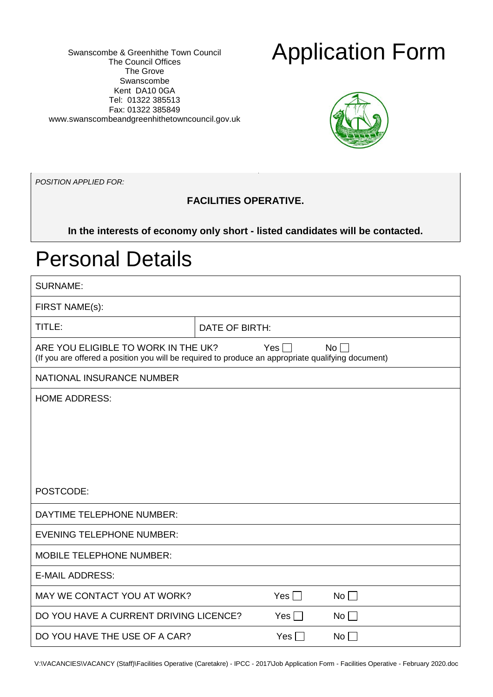Swanscombe & Greenhithe Town Council The Council Offices The Grove Swanscombe Kent DA10 0GA Tel: 01322 385513 Fax: 01322 385849 [www.swansc](http://www.swans/)ombeandgreenhithetowncouncil.gov.uk

## Application Form



*POSITION APPLIED FOR:*

### **FACILITIES OPERATIVE.**

**In the interests of economy only short - listed candidates will be contacted.**

### Personal Details

| <b>SURNAME:</b>                                                                                                                           |                |           |
|-------------------------------------------------------------------------------------------------------------------------------------------|----------------|-----------|
| FIRST NAME(s):                                                                                                                            |                |           |
| TITLE:                                                                                                                                    | DATE OF BIRTH: |           |
| ARE YOU ELIGIBLE TO WORK IN THE UK?<br>(If you are offered a position you will be required to produce an appropriate qualifying document) | Yes $\Box$     | $No \Box$ |
| NATIONAL INSURANCE NUMBER                                                                                                                 |                |           |
| <b>HOME ADDRESS:</b>                                                                                                                      |                |           |
|                                                                                                                                           |                |           |
|                                                                                                                                           |                |           |
|                                                                                                                                           |                |           |
|                                                                                                                                           |                |           |
| POSTCODE:                                                                                                                                 |                |           |
| DAYTIME TELEPHONE NUMBER:                                                                                                                 |                |           |
| <b>EVENING TELEPHONE NUMBER:</b>                                                                                                          |                |           |
| <b>MOBILE TELEPHONE NUMBER:</b>                                                                                                           |                |           |
| <b>E-MAIL ADDRESS:</b>                                                                                                                    |                |           |
| MAY WE CONTACT YOU AT WORK?                                                                                                               | Yes $\Box$     | No        |
| DO YOU HAVE A CURRENT DRIVING LICENCE?                                                                                                    | Yes $\Box$     | $No \Box$ |
| DO YOU HAVE THE USE OF A CAR?                                                                                                             | $Yes$ $\Box$   | No        |
|                                                                                                                                           |                |           |

V:\VACANCIES\VACANCY (Staff)\Facilities Operative (Caretakre) - IPCC - 2017\Job Application Form - Facilities Operative - February 2020.doc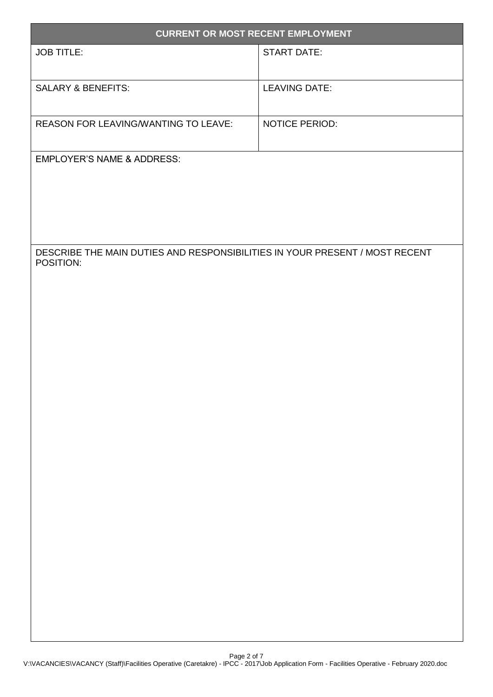| <b>CURRENT OR MOST RECENT EMPLOYMENT</b>                                                 |                      |
|------------------------------------------------------------------------------------------|----------------------|
| <b>JOB TITLE:</b>                                                                        | <b>START DATE:</b>   |
|                                                                                          |                      |
| <b>SALARY &amp; BENEFITS:</b>                                                            | <b>LEAVING DATE:</b> |
|                                                                                          |                      |
| <b>REASON FOR LEAVING/WANTING TO LEAVE:</b>                                              | NOTICE PERIOD:       |
| <b>EMPLOYER'S NAME &amp; ADDRESS:</b>                                                    |                      |
|                                                                                          |                      |
|                                                                                          |                      |
|                                                                                          |                      |
|                                                                                          |                      |
| DESCRIBE THE MAIN DUTIES AND RESPONSIBILITIES IN YOUR PRESENT / MOST RECENT<br>POSITION: |                      |
|                                                                                          |                      |
|                                                                                          |                      |
|                                                                                          |                      |
|                                                                                          |                      |
|                                                                                          |                      |
|                                                                                          |                      |
|                                                                                          |                      |
|                                                                                          |                      |
|                                                                                          |                      |
|                                                                                          |                      |
|                                                                                          |                      |
|                                                                                          |                      |
|                                                                                          |                      |
|                                                                                          |                      |
|                                                                                          |                      |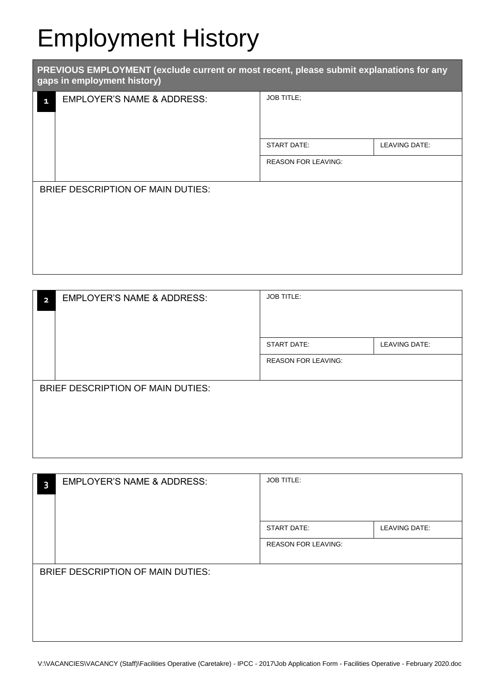# Employment History

| PREVIOUS EMPLOYMENT (exclude current or most recent, please submit explanations for any<br>gaps in employment history) |                                       |                            |               |  |
|------------------------------------------------------------------------------------------------------------------------|---------------------------------------|----------------------------|---------------|--|
| $\blacksquare$                                                                                                         | <b>EMPLOYER'S NAME &amp; ADDRESS:</b> | <b>JOB TITLE:</b>          |               |  |
|                                                                                                                        |                                       | <b>START DATE:</b>         | LEAVING DATE: |  |
|                                                                                                                        |                                       | <b>REASON FOR LEAVING:</b> |               |  |
|                                                                                                                        | BRIEF DESCRIPTION OF MAIN DUTIES:     |                            |               |  |

| $\overline{2}$ | <b>EMPLOYER'S NAME &amp; ADDRESS:</b> | <b>JOB TITLE:</b>          |                      |
|----------------|---------------------------------------|----------------------------|----------------------|
|                |                                       | <b>START DATE:</b>         | <b>LEAVING DATE:</b> |
|                |                                       | <b>REASON FOR LEAVING:</b> |                      |
|                |                                       |                            |                      |
|                | BRIEF DESCRIPTION OF MAIN DUTIES:     |                            |                      |
|                |                                       |                            |                      |
|                |                                       |                            |                      |
|                |                                       |                            |                      |
|                |                                       |                            |                      |
|                |                                       |                            |                      |

| 3 | <b>EMPLOYER'S NAME &amp; ADDRESS:</b> | <b>JOB TITLE:</b>          |               |
|---|---------------------------------------|----------------------------|---------------|
|   |                                       | <b>START DATE:</b>         | LEAVING DATE: |
|   |                                       | <b>REASON FOR LEAVING:</b> |               |
|   | BRIEF DESCRIPTION OF MAIN DUTIES:     |                            |               |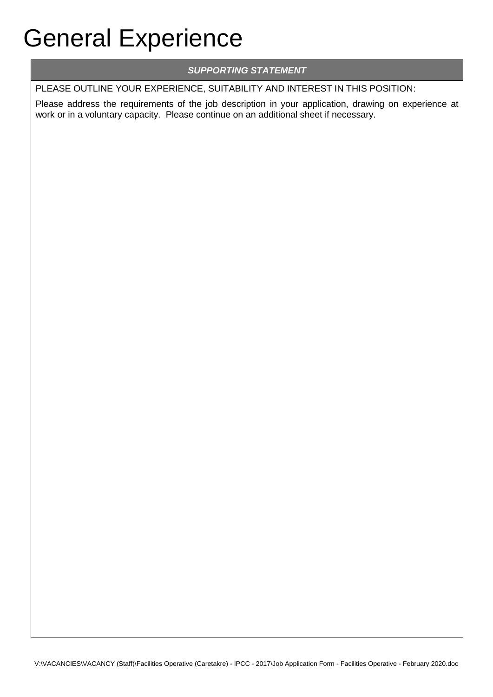# General Experience

### *SUPPORTING STATEMENT*

PLEASE OUTLINE YOUR EXPERIENCE, SUITABILITY AND INTEREST IN THIS POSITION:

Please address the requirements of the job description in your application, drawing on experience at work or in a voluntary capacity. Please continue on an additional sheet if necessary.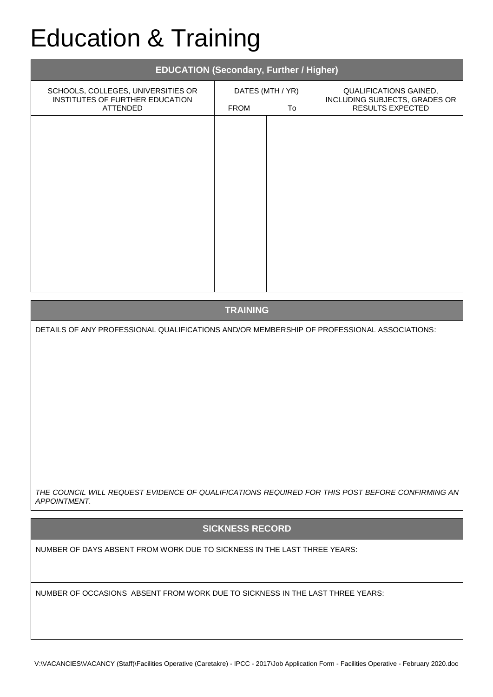# Education & Training

| <b>EDUCATION (Secondary, Further / Higher)</b>                                    |                                       |  |                                                                             |  |  |
|-----------------------------------------------------------------------------------|---------------------------------------|--|-----------------------------------------------------------------------------|--|--|
| SCHOOLS, COLLEGES, UNIVERSITIES OR<br>INSTITUTES OF FURTHER EDUCATION<br>ATTENDED | DATES (MTH / YR)<br><b>FROM</b><br>To |  | QUALIFICATIONS GAINED,<br>INCLUDING SUBJECTS, GRADES OR<br>RESULTS EXPECTED |  |  |
|                                                                                   |                                       |  |                                                                             |  |  |
|                                                                                   |                                       |  |                                                                             |  |  |
|                                                                                   |                                       |  |                                                                             |  |  |
|                                                                                   |                                       |  |                                                                             |  |  |
|                                                                                   |                                       |  |                                                                             |  |  |
|                                                                                   |                                       |  |                                                                             |  |  |
|                                                                                   |                                       |  |                                                                             |  |  |

**TRAINING**

DETAILS OF ANY PROFESSIONAL QUALIFICATIONS AND/OR MEMBERSHIP OF PROFESSIONAL ASSOCIATIONS:

*THE COUNCIL WILL REQUEST EVIDENCE OF QUALIFICATIONS REQUIRED FOR THIS POST BEFORE CONFIRMING AN APPOINTMENT.*

#### **SICKNESS RECORD**

NUMBER OF DAYS ABSENT FROM WORK DUE TO SICKNESS IN THE LAST THREE YEARS:

NUMBER OF OCCASIONS ABSENT FROM WORK DUE TO SICKNESS IN THE LAST THREE YEARS: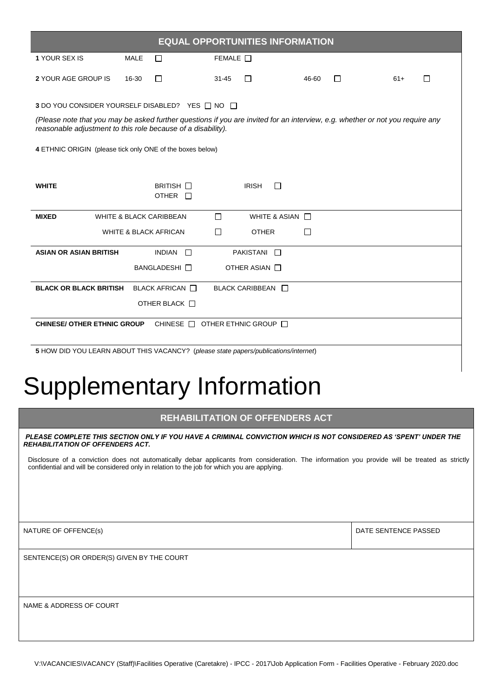| <b>EQUAL OPPORTUNITIES INFORMATION</b>                                                                                                                                                        |             |                                    |           |                                              |       |   |       |   |
|-----------------------------------------------------------------------------------------------------------------------------------------------------------------------------------------------|-------------|------------------------------------|-----------|----------------------------------------------|-------|---|-------|---|
| 1 YOUR SEX IS                                                                                                                                                                                 | <b>MALE</b> | П                                  | FEMALE    |                                              |       |   |       |   |
| 2 YOUR AGE GROUP IS                                                                                                                                                                           | 16-30       | П                                  | $31 - 45$ | П                                            | 46-60 | П | $61+$ | □ |
| 3 DO YOU CONSIDER YOURSELF DISABLED? YES ANO                                                                                                                                                  |             |                                    |           |                                              |       |   |       |   |
| (Please note that you may be asked further questions if you are invited for an interview, e.g. whether or not you require any<br>reasonable adjustment to this role because of a disability). |             |                                    |           |                                              |       |   |       |   |
| 4 ETHNIC ORIGIN (please tick only ONE of the boxes below)                                                                                                                                     |             |                                    |           |                                              |       |   |       |   |
|                                                                                                                                                                                               |             |                                    |           |                                              |       |   |       |   |
| <b>WHITE</b>                                                                                                                                                                                  |             | BRITISH $\square$<br>OTHER $\Box$  |           | <b>IRISH</b><br>□                            |       |   |       |   |
| <b>MIXED</b>                                                                                                                                                                                  |             | <b>WHITE &amp; BLACK CARIBBEAN</b> | П         | WHITE & ASIAN $\Box$                         |       |   |       |   |
|                                                                                                                                                                                               |             | <b>WHITE &amp; BLACK AFRICAN</b>   | П         | <b>OTHER</b>                                 | H     |   |       |   |
| <b>ASIAN OR ASIAN BRITISH</b>                                                                                                                                                                 |             | <b>INDIAN</b><br>$\Box$            |           | <b>PAKISTANI</b><br>$\overline{\phantom{a}}$ |       |   |       |   |
|                                                                                                                                                                                               |             | <b>BANGLADESHI</b> □               |           | OTHER ASIAN $\Box$                           |       |   |       |   |
| <b>BLACK OR BLACK BRITISH</b>                                                                                                                                                                 |             | <b>BLACK AFRICAN</b> □             |           | BLACK CARIBBEAN <b>N</b>                     |       |   |       |   |
|                                                                                                                                                                                               |             | OTHER BLACK O                      |           |                                              |       |   |       |   |
| <b>CHINESE/ OTHER ETHNIC GROUP</b><br>CHINESE $\Box$ OTHER ETHNIC GROUP $\Box$                                                                                                                |             |                                    |           |                                              |       |   |       |   |
| 5 HOW DID YOU LEARN ABOUT THIS VACANCY? (please state papers/publications/internet)                                                                                                           |             |                                    |           |                                              |       |   |       |   |

## Supplementary Information

#### **REHABILITATION OF OFFENDERS ACT**

*PLEASE COMPLETE THIS SECTION ONLY IF YOU HAVE A CRIMINAL CONVICTION WHICH IS NOT CONSIDERED AS 'SPENT' UNDER THE REHABILITATION OF OFFENDERS ACT.* 

Disclosure of a conviction does not automatically debar applicants from consideration. The information you provide will be treated as strictly confidential and will be considered only in relation to the job for which you are applying.

NATURE OF OFFENCE(s) DATE SENTENCE PASSED

SENTENCE(S) OR ORDER(S) GIVEN BY THE COURT

NAME & ADDRESS OF COURT